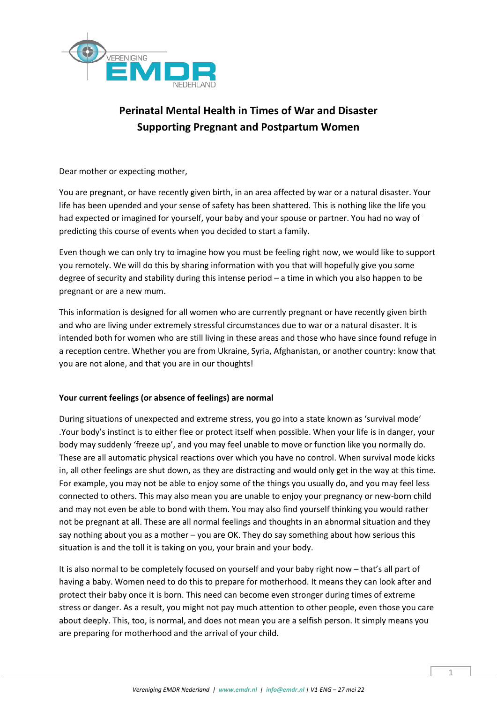

# **Perinatal Mental Health in Times of War and Disaster Supporting Pregnant and Postpartum Women**

Dear mother or expecting mother,

You are pregnant, or have recently given birth, in an area affected by war or a natural disaster. Your life has been upended and your sense of safety has been shattered. This is nothing like the life you had expected or imagined for yourself, your baby and your spouse or partner. You had no way of predicting this course of events when you decided to start a family.

Even though we can only try to imagine how you must be feeling right now, we would like to support you remotely. We will do this by sharing information with you that will hopefully give you some degree of security and stability during this intense period – a time in which you also happen to be pregnant or are a new mum.

This information is designed for all women who are currently pregnant or have recently given birth and who are living under extremely stressful circumstances due to war or a natural disaster. It is intended both for women who are still living in these areas and those who have since found refuge in a reception centre. Whether you are from Ukraine, Syria, Afghanistan, or another country: know that you are not alone, and that you are in our thoughts!

## **Your current feelings (or absence of feelings) are normal**

During situations of unexpected and extreme stress, you go into a state known as 'survival mode' .Your body's instinct is to either flee or protect itself when possible. When your life is in danger, your body may suddenly 'freeze up', and you may feel unable to move or function like you normally do. These are all automatic physical reactions over which you have no control. When survival mode kicks in, all other feelings are shut down, as they are distracting and would only get in the way at this time. For example, you may not be able to enjoy some of the things you usually do, and you may feel less connected to others. This may also mean you are unable to enjoy your pregnancy or new-born child and may not even be able to bond with them. You may also find yourself thinking you would rather not be pregnant at all. These are all normal feelings and thoughts in an abnormal situation and they say nothing about you as a mother – you are OK. They do say something about how serious this situation is and the toll it is taking on you, your brain and your body.

It is also normal to be completely focused on yourself and your baby right now – that's all part of having a baby. Women need to do this to prepare for motherhood. It means they can look after and protect their baby once it is born. This need can become even stronger during times of extreme stress or danger. As a result, you might not pay much attention to other people, even those you care about deeply. This, too, is normal, and does not mean you are a selfish person. It simply means you are preparing for motherhood and the arrival of your child.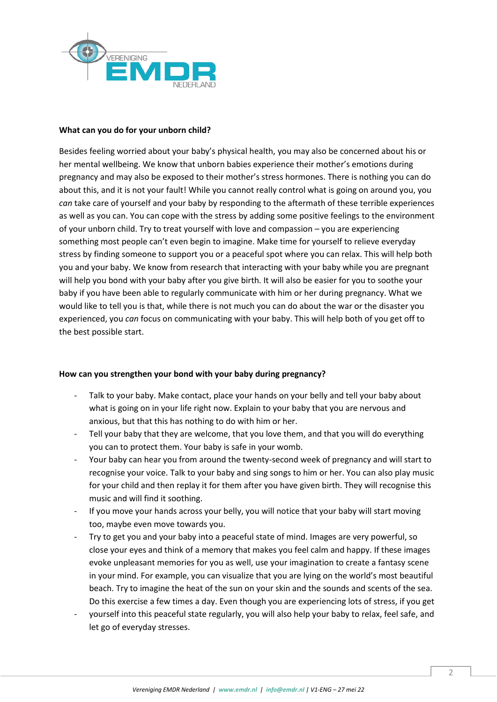

## **What can you do for your unborn child?**

Besides feeling worried about your baby's physical health, you may also be concerned about his or her mental wellbeing. We know that unborn babies experience their mother's emotions during pregnancy and may also be exposed to their mother's stress hormones. There is nothing you can do about this, and it is not your fault! While you cannot really control what is going on around you, you *can* take care of yourself and your baby by responding to the aftermath of these terrible experiences as well as you can. You can cope with the stress by adding some positive feelings to the environment of your unborn child. Try to treat yourself with love and compassion – you are experiencing something most people can't even begin to imagine. Make time for yourself to relieve everyday stress by finding someone to support you or a peaceful spot where you can relax. This will help both you and your baby. We know from research that interacting with your baby while you are pregnant will help you bond with your baby after you give birth. It will also be easier for you to soothe your baby if you have been able to regularly communicate with him or her during pregnancy. What we would like to tell you is that, while there is not much you can do about the war or the disaster you experienced, you *can* focus on communicating with your baby. This will help both of you get off to the best possible start.

#### **How can you strengthen your bond with your baby during pregnancy?**

- Talk to your baby. Make contact, place your hands on your belly and tell your baby about what is going on in your life right now. Explain to your baby that you are nervous and anxious, but that this has nothing to do with him or her.
- Tell your baby that they are welcome, that you love them, and that you will do everything you can to protect them. Your baby is safe in your womb.
- Your baby can hear you from around the twenty-second week of pregnancy and will start to recognise your voice. Talk to your baby and sing songs to him or her. You can also play music for your child and then replay it for them after you have given birth. They will recognise this music and will find it soothing.
- If you move your hands across your belly, you will notice that your baby will start moving too, maybe even move towards you.
- Try to get you and your baby into a peaceful state of mind. Images are very powerful, so close your eyes and think of a memory that makes you feel calm and happy. If these images evoke unpleasant memories for you as well, use your imagination to create a fantasy scene in your mind. For example, you can visualize that you are lying on the world's most beautiful beach. Try to imagine the heat of the sun on your skin and the sounds and scents of the sea. Do this exercise a few times a day. Even though you are experiencing lots of stress, if you get
- yourself into this peaceful state regularly, you will also help your baby to relax, feel safe, and let go of everyday stresses.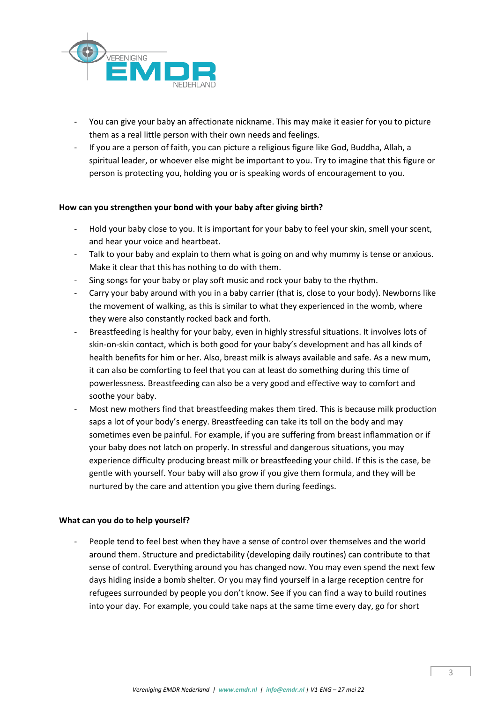

- You can give your baby an affectionate nickname. This may make it easier for you to picture them as a real little person with their own needs and feelings.
- If you are a person of faith, you can picture a religious figure like God, Buddha, Allah, a spiritual leader, or whoever else might be important to you. Try to imagine that this figure or person is protecting you, holding you or is speaking words of encouragement to you.

## **How can you strengthen your bond with your baby after giving birth?**

- Hold your baby close to you. It is important for your baby to feel your skin, smell your scent, and hear your voice and heartbeat.
- Talk to your baby and explain to them what is going on and why mummy is tense or anxious. Make it clear that this has nothing to do with them.
- Sing songs for your baby or play soft music and rock your baby to the rhythm.
- Carry your baby around with you in a baby carrier (that is, close to your body). Newborns like the movement of walking, as this is similar to what they experienced in the womb, where they were also constantly rocked back and forth.
- Breastfeeding is healthy for your baby, even in highly stressful situations. It involves lots of skin-on-skin contact, which is both good for your baby's development and has all kinds of health benefits for him or her. Also, breast milk is always available and safe. As a new mum, it can also be comforting to feel that you can at least do something during this time of powerlessness. Breastfeeding can also be a very good and effective way to comfort and soothe your baby.
- Most new mothers find that breastfeeding makes them tired. This is because milk production saps a lot of your body's energy. Breastfeeding can take its toll on the body and may sometimes even be painful. For example, if you are suffering from breast inflammation or if your baby does not latch on properly. In stressful and dangerous situations, you may experience difficulty producing breast milk or breastfeeding your child. If this is the case, be gentle with yourself. Your baby will also grow if you give them formula, and they will be nurtured by the care and attention you give them during feedings.

## **What can you do to help yourself?**

People tend to feel best when they have a sense of control over themselves and the world around them. Structure and predictability (developing daily routines) can contribute to that sense of control. Everything around you has changed now. You may even spend the next few days hiding inside a bomb shelter. Or you may find yourself in a large reception centre for refugees surrounded by people you don't know. See if you can find a way to build routines into your day. For example, you could take naps at the same time every day, go for short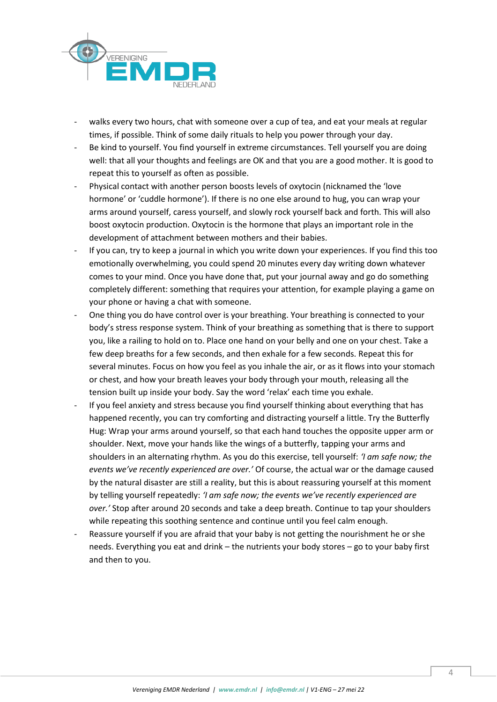

- walks every two hours, chat with someone over a cup of tea, and eat your meals at regular times, if possible. Think of some daily rituals to help you power through your day.
- Be kind to yourself. You find yourself in extreme circumstances. Tell yourself you are doing well: that all your thoughts and feelings are OK and that you are a good mother. It is good to repeat this to yourself as often as possible.
- Physical contact with another person boosts levels of oxytocin (nicknamed the 'love hormone' or 'cuddle hormone'). If there is no one else around to hug, you can wrap your arms around yourself, caress yourself, and slowly rock yourself back and forth. This will also boost oxytocin production. Oxytocin is the hormone that plays an important role in the development of attachment between mothers and their babies.
- If you can, try to keep a journal in which you write down your experiences. If you find this too emotionally overwhelming, you could spend 20 minutes every day writing down whatever comes to your mind. Once you have done that, put your journal away and go do something completely different: something that requires your attention, for example playing a game on your phone or having a chat with someone.
- One thing you do have control over is your breathing. Your breathing is connected to your body's stress response system. Think of your breathing as something that is there to support you, like a railing to hold on to. Place one hand on your belly and one on your chest. Take a few deep breaths for a few seconds, and then exhale for a few seconds. Repeat this for several minutes. Focus on how you feel as you inhale the air, or as it flows into your stomach or chest, and how your breath leaves your body through your mouth, releasing all the tension built up inside your body. Say the word 'relax' each time you exhale.
- If you feel anxiety and stress because you find yourself thinking about everything that has happened recently, you can try comforting and distracting yourself a little. Try the Butterfly Hug: Wrap your arms around yourself, so that each hand touches the opposite upper arm or shoulder. Next, move your hands like the wings of a butterfly, tapping your arms and shoulders in an alternating rhythm. As you do this exercise, tell yourself: *'I am safe now; the events we've recently experienced are over.'* Of course, the actual war or the damage caused by the natural disaster are still a reality, but this is about reassuring yourself at this moment by telling yourself repeatedly: *'I am safe now; the events we've recently experienced are over.'* Stop after around 20 seconds and take a deep breath. Continue to tap your shoulders while repeating this soothing sentence and continue until you feel calm enough.
- Reassure yourself if you are afraid that your baby is not getting the nourishment he or she needs. Everything you eat and drink – the nutrients your body stores – go to your baby first and then to you.